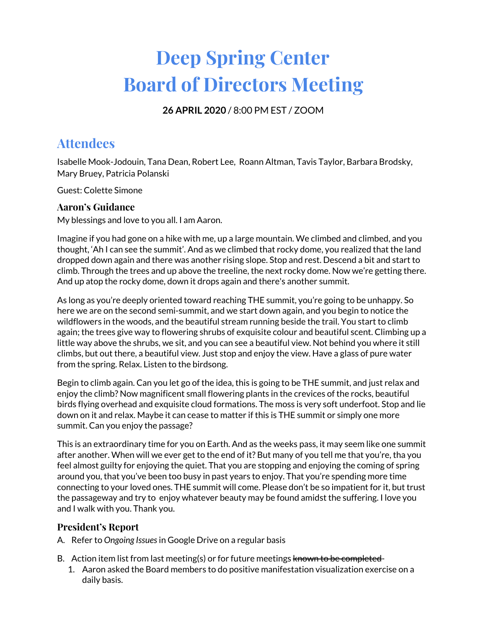# **Deep Spring Center Board of Directors Meeting**

**26 APRIL 2020** / 8:00 PM EST / ZOOM

# **Attendees**

Isabelle Mook-Jodouin, Tana Dean, Robert Lee, Roann Altman, Tavis Taylor, Barbara Brodsky, Mary Bruey, Patricia Polanski

Guest: Colette Simone

# **Aaron's Guidance**

My blessings and love to you all. I am Aaron.

Imagine if you had gone on a hike with me, up a large mountain. We climbed and climbed, and you thought, 'Ah I can see the summit'. And as we climbed that rocky dome, you realized that the land dropped down again and there was another rising slope. Stop and rest. Descend a bit and start to climb. Through the trees and up above the treeline, the next rocky dome. Now we're getting there. And up atop the rocky dome, down it drops again and there's another summit.

As long as you're deeply oriented toward reaching THE summit, you're going to be unhappy. So here we are on the second semi-summit, and we start down again, and you begin to notice the wildflowers in the woods, and the beautiful stream running beside the trail. You start to climb again; the trees give way to flowering shrubs of exquisite colour and beautiful scent. Climbing up a little way above the shrubs, we sit, and you can see a beautiful view. Not behind you where it still climbs, but out there, a beautiful view. Just stop and enjoy the view. Have a glass of pure water from the spring. Relax. Listen to the birdsong.

Begin to climb again. Can you let go of the idea, this is going to be THE summit, and just relax and enjoy the climb? Now magnificent small flowering plants in the crevices of the rocks, beautiful birds flying overhead and exquisite cloud formations. The moss is very soft underfoot. Stop and lie down on it and relax. Maybe it can cease to matter if this is THE summit or simply one more summit. Can you enjoy the passage?

This is an extraordinary time for you on Earth. And as the weeks pass, it may seem like one summit after another. When will we ever get to the end of it? But many of you tell me that you're, tha you feel almost guilty for enjoying the quiet. That you are stopping and enjoying the coming of spring around you, that you've been too busy in past years to enjoy. That you're spending more time connecting to your loved ones. THE summit will come. Please don't be so impatient for it, but trust the passageway and try to enjoy whatever beauty may be found amidst the suffering. I love you and I walk with you. Thank you.

# **President's Report**

A. Refer to *Ongoing Issues*in Google Drive on a regular basis

- B. Action item list from last meeting(s) or for future meetings known to be completed-
	- 1. Aaron asked the Board members to do positive manifestation visualization exercise on a daily basis.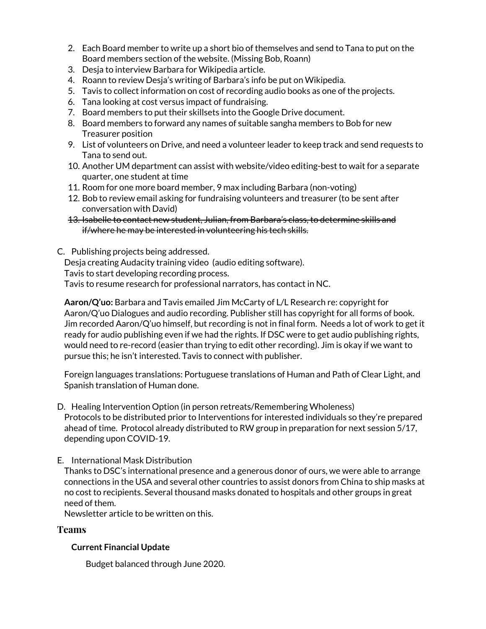- 2. Each Board member to write up a short bio of themselves and send to Tana to put on the Board members section of the website. (Missing Bob, Roann)
- 3. Desja to interview Barbara for Wikipedia article.
- 4. Roann to review Desja's writing of Barbara's info be put on Wikipedia.
- 5. Tavis to collect information on cost of recording audio books as one of the projects.
- 6. Tana looking at cost versus impact of fundraising.
- 7. Board members to put their skillsets into the Google Drive document.
- 8. Board members to forward any names of suitable sangha members to Bob for new Treasurer position
- 9. List of volunteers on Drive, and need a volunteer leader to keep track and send requests to Tana to send out.
- 10. Another UM department can assist with website/video editing-best to wait for a separate quarter, one student at time
- 11. Room for one more board member, 9 max including Barbara (non-voting)
- 12. Bob to review email asking for fundraising volunteers and treasurer (to be sent after conversation with David)
- 13. Isabelle to contact new student, Julian, from Barbara's class, to determine skills and if/where he may be interested in volunteering his tech skills.
- C. Publishing projects being addressed.

Desja creating Audacity training video (audio editing software).

Tavis to start developing recording process.

Tavis to resume research for professional narrators, has contact in NC.

**Aaron/Q'uo:** Barbara and Tavis emailed Jim McCarty of L/L Research re: copyright for Aaron/Q'uo Dialogues and audio recording. Publisher still has copyright for all forms of book. Jim recorded Aaron/Q'uo himself, but recording is not in final form. Needs a lot of work to get it ready for audio publishing even if we had the rights. If DSC were to get audio publishing rights, would need to re-record (easier than trying to edit other recording). Jim is okay if we want to pursue this; he isn't interested. Tavis to connect with publisher.

Foreign languages translations: Portuguese translations of Human and Path of Clear Light, and Spanish translation of Human done.

- D. Healing Intervention Option (in person retreats/Remembering Wholeness) Protocols to be distributed prior to Interventions for interested individuals so they're prepared ahead of time. Protocol already distributed to RW group in preparation for next session 5/17, depending upon COVID-19.
- E. International Mask Distribution

Thanks to DSC's international presence and a generous donor of ours, we were able to arrange connections in the USA and several other countries to assist donors from China to ship masks at no cost to recipients. Several thousand masks donated to hospitals and other groups in great need of them.

Newsletter article to be written on this.

## **Teams**

## **Current Financial Update**

Budget balanced through June 2020.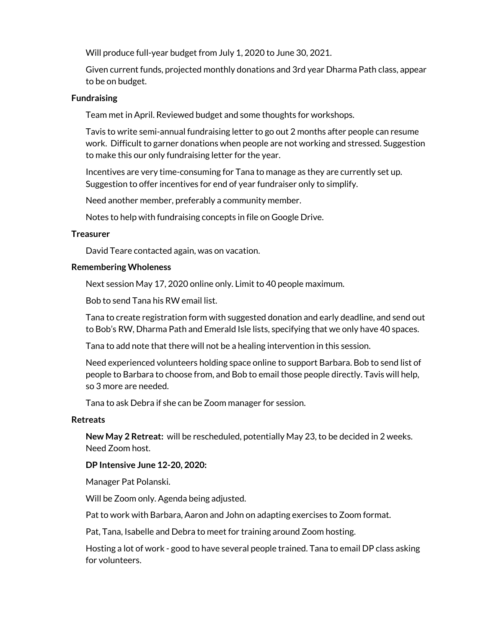Will produce full-year budget from July 1, 2020 to June 30, 2021.

Given current funds, projected monthly donations and 3rd year Dharma Path class, appear to be on budget.

#### **Fundraising**

Team met in April. Reviewed budget and some thoughts for workshops.

Tavis to write semi-annual fundraising letter to go out 2 months after people can resume work. Difficult to garner donations when people are not working and stressed. Suggestion to make this our only fundraising letter for the year.

Incentives are very time-consuming for Tana to manage as they are currently set up. Suggestion to offer incentives for end of year fundraiser only to simplify.

Need another member, preferably a community member.

Notes to help with fundraising concepts in file on Google Drive.

#### **Treasurer**

David Teare contacted again, was on vacation.

#### **Remembering Wholeness**

Next session May 17, 2020 online only. Limit to 40 people maximum.

Bob to send Tana his RW email list.

Tana to create registration form with suggested donation and early deadline, and send out to Bob's RW, Dharma Path and Emerald Isle lists, specifying that we only have 40 spaces.

Tana to add note that there will not be a healing intervention in this session.

Need experienced volunteers holding space online to support Barbara. Bob to send list of people to Barbara to choose from, and Bob to email those people directly. Tavis will help, so 3 more are needed.

Tana to ask Debra if she can be Zoom manager for session.

#### **Retreats**

**New May 2 Retreat:** will be rescheduled, potentially May 23, to be decided in 2 weeks. Need Zoom host.

**DP Intensive June 12-20, 2020:**

Manager Pat Polanski.

Will be Zoom only. Agenda being adjusted.

Pat to work with Barbara, Aaron and John on adapting exercises to Zoom format.

Pat, Tana, Isabelle and Debra to meet for training around Zoom hosting.

Hosting a lot of work - good to have several people trained. Tana to email DP class asking for volunteers.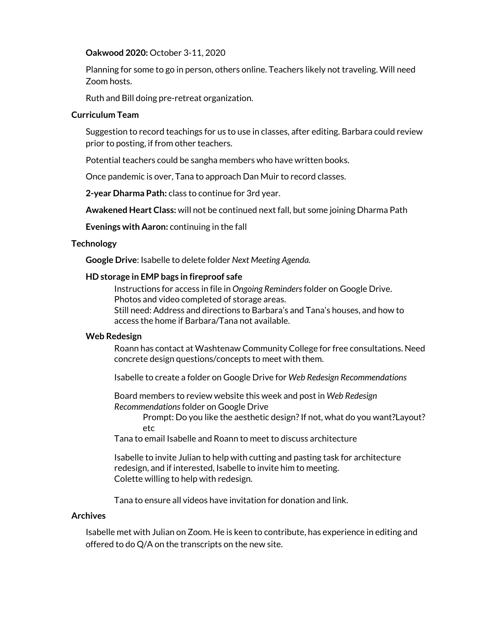#### **Oakwood 2020:** October 3-11, 2020

Planning for some to go in person, others online. Teachers likely not traveling. Will need Zoom hosts.

Ruth and Bill doing pre-retreat organization.

#### **Curriculum Team**

Suggestion to record teachings for us to use in classes, after editing. Barbara could review prior to posting, if from other teachers.

Potential teachers could be sangha members who have written books.

Once pandemic is over, Tana to approach Dan Muir to record classes.

**2-year Dharma Path:** class to continue for 3rd year.

**Awakened Heart Class:** will not be continued next fall, but some joining Dharma Path

**Evenings with Aaron:** continuing in the fall

#### **Technology**

**Google Drive**: Isabelle to delete folder *Next Meeting Agenda.*

#### **HD storage in EMP bags in fireproof safe**

Instructions for access in file in *Ongoing Reminders*folder on Google Drive. Photos and video completed of storage areas. Still need: Address and directions to Barbara's and Tana's houses, and how to access the home if Barbara/Tana not available.

#### **Web Redesign**

Roann has contact at Washtenaw Community College for free consultations. Need concrete design questions/concepts to meet with them.

Isabelle to create a folder on Google Drive for *Web Redesign Recommendations*

Board members to review website this week and post in *Web Redesign Recommendations*folder on Google Drive

> Prompt: Do you like the aesthetic design? If not, what do you want?Layout? etc

Tana to email Isabelle and Roann to meet to discuss architecture

Isabelle to invite Julian to help with cutting and pasting task for architecture redesign, and if interested, Isabelle to invite him to meeting. Colette willing to help with redesign.

Tana to ensure all videos have invitation for donation and link.

#### **Archives**

Isabelle met with Julian on Zoom. He is keen to contribute, has experience in editing and offered to do Q/A on the transcripts on the new site.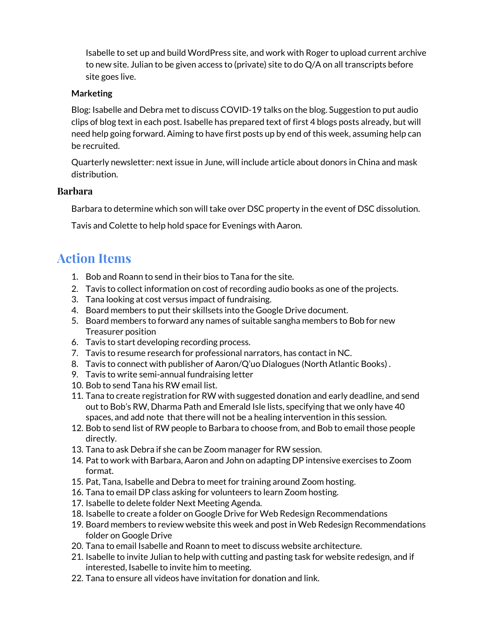Isabelle to set up and build WordPress site, and work with Roger to upload current archive to new site. Julian to be given access to (private) site to do Q/A on all transcripts before site goes live.

### **Marketing**

Blog: Isabelle and Debra met to discuss COVID-19 talks on the blog. Suggestion to put audio clips of blog text in each post. Isabelle has prepared text of first 4 blogs posts already, but will need help going forward. Aiming to have first posts up by end of this week, assuming help can be recruited.

Quarterly newsletter: next issue in June, will include article about donors in China and mask distribution.

## **Barbara**

Barbara to determine which son will take over DSC property in the event of DSC dissolution.

Tavis and Colette to help hold space for Evenings with Aaron.

# **Action Items**

- 1. Bob and Roann to send in their bios to Tana for the site.
- 2. Tavis to collect information on cost of recording audio books as one of the projects.
- 3. Tana looking at cost versus impact of fundraising.
- 4. Board members to put their skillsets into the Google Drive document.
- 5. Board members to forward any names of suitable sangha members to Bob for new Treasurer position
- 6. Tavis to start developing recording process.
- 7. Tavis to resume research for professional narrators, has contact in NC.
- 8. Tavis to connect with publisher of Aaron/Q'uo Dialogues (North Atlantic Books) .
- 9. Tavis to write semi-annual fundraising letter
- 10. Bob to send Tana his RW email list.
- 11. Tana to create registration for RW with suggested donation and early deadline, and send out to Bob's RW, Dharma Path and Emerald Isle lists, specifying that we only have 40 spaces, and add note that there will not be a healing intervention in this session.
- 12. Bob to send list of RW people to Barbara to choose from, and Bob to email those people directly.
- 13. Tana to ask Debra if she can be Zoom manager for RW session.
- 14. Pat to work with Barbara, Aaron and John on adapting DP intensive exercises to Zoom format.
- 15. Pat, Tana, Isabelle and Debra to meet for training around Zoom hosting.
- 16. Tana to email DP class asking for volunteers to learn Zoom hosting.
- 17. Isabelle to delete folder Next Meeting Agenda.
- 18. Isabelle to create a folder on Google Drive for Web Redesign Recommendations
- 19. Board members to review website this week and post in Web Redesign Recommendations folder on Google Drive
- 20. Tana to email Isabelle and Roann to meet to discuss website architecture.
- 21. Isabelle to invite Julian to help with cutting and pasting task for website redesign, and if interested, Isabelle to invite him to meeting.
- 22. Tana to ensure all videos have invitation for donation and link.